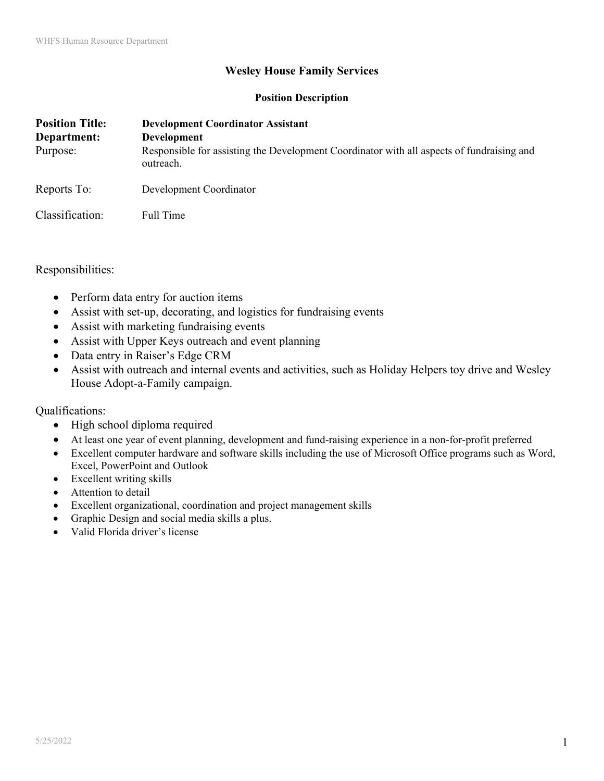## **Wesley House Family Services**

## **Position Description**

| <b>Position Title:</b><br>Department:<br>Purpose: | <b>Development Coordinator Assistant</b><br>Development<br>Responsible for assisting the Development Coordinator with all aspects of fundraising and<br>outreach. |
|---------------------------------------------------|-------------------------------------------------------------------------------------------------------------------------------------------------------------------|
| Reports To:                                       | Development Coordinator                                                                                                                                           |
| Classification:                                   | Full Time                                                                                                                                                         |

Responsibilities:

- Perform data entry for auction items
- Assist with set-up, decorating, and logistics for fundraising events
- Assist with marketing fundraising events
- Assist with Upper Keys outreach and event planning
- Data entry in Raiser's Edge CRM
- Assist with outreach and internal events and activities, such as Holiday Helpers toy drive and Wesley House Adopt-a-Family campaign.

Qualifications:

- High school diploma required
- At least one year of event planning, development and fund-raising experience in a non-for-profit preferred
- Excellent computer hardware and software skills including the use of Microsoft Office programs such as Word, Excel, PowerPoint and Outlook
- Excellent writing skills
- Attention to detail
- Excellent organizational, coordination and project management skills
- Graphic Design and social media skills a plus.
- Valid Florida driver's license